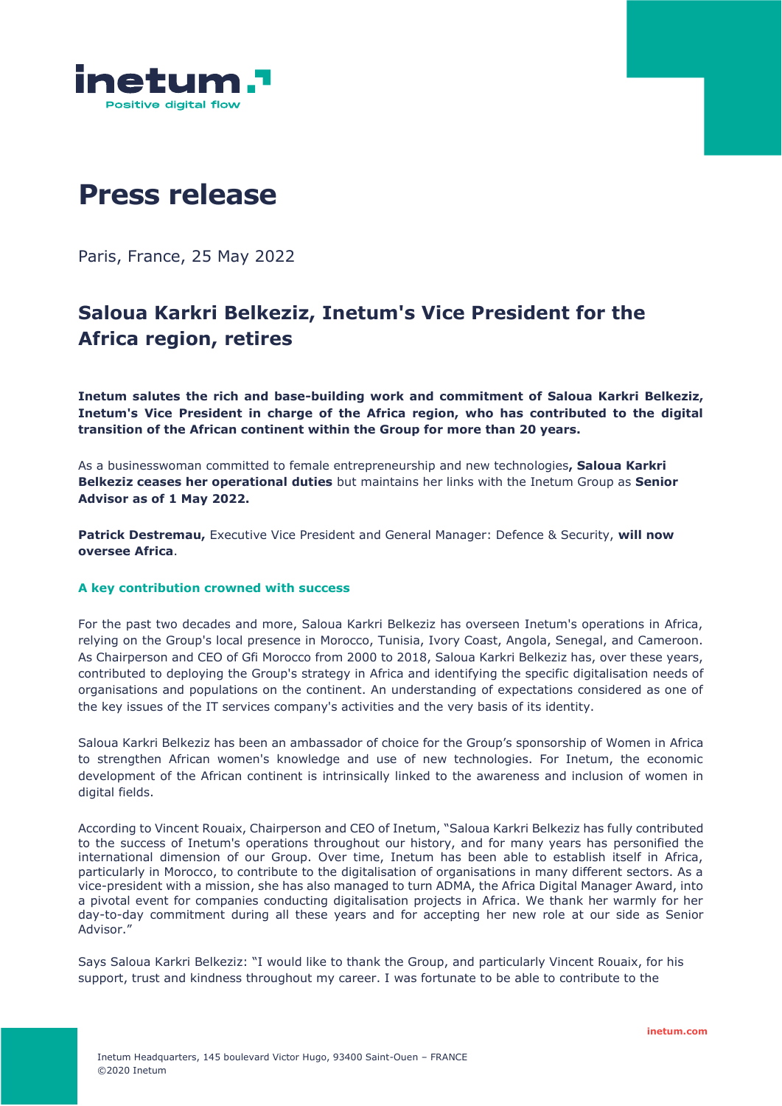

# **Press release**

Paris, France, 25 May 2022

# **Saloua Karkri Belkeziz, Inetum's Vice President for the Africa region, retires**

**Inetum salutes the rich and base-building work and commitment of Saloua Karkri Belkeziz, Inetum's Vice President in charge of the Africa region, who has contributed to the digital transition of the African continent within the Group for more than 20 years.**

As a businesswoman committed to female entrepreneurship and new technologies**, Saloua Karkri Belkeziz ceases her operational duties** but maintains her links with the Inetum Group as **Senior Advisor as of 1 May 2022.**

**Patrick Destremau,** Executive Vice President and General Manager: Defence & Security, **will now oversee Africa**.

#### **A key contribution crowned with success**

For the past two decades and more, Saloua Karkri Belkeziz has overseen Inetum's operations in Africa, relying on the Group's local presence in Morocco, Tunisia, Ivory Coast, Angola, Senegal, and Cameroon. As Chairperson and CEO of Gfi Morocco from 2000 to 2018, Saloua Karkri Belkeziz has, over these years, contributed to deploying the Group's strategy in Africa and identifying the specific digitalisation needs of organisations and populations on the continent. An understanding of expectations considered as one of the key issues of the IT services company's activities and the very basis of its identity.

Saloua Karkri Belkeziz has been an ambassador of choice for the Group's sponsorship of Women in Africa to strengthen African women's knowledge and use of new technologies. For Inetum, the economic development of the African continent is intrinsically linked to the awareness and inclusion of women in digital fields.

According to Vincent Rouaix, Chairperson and CEO of Inetum, "Saloua Karkri Belkeziz has fully contributed to the success of Inetum's operations throughout our history, and for many years has personified the international dimension of our Group. Over time, Inetum has been able to establish itself in Africa, particularly in Morocco, to contribute to the digitalisation of organisations in many different sectors. As a vice-president with a mission, she has also managed to turn ADMA, the Africa Digital Manager Award, into a pivotal event for companies conducting digitalisation projects in Africa. We thank her warmly for her day-to-day commitment during all these years and for accepting her new role at our side as Senior Advisor."

Says Saloua Karkri Belkeziz: "I would like to thank the Group, and particularly Vincent Rouaix, for his support, trust and kindness throughout my career. I was fortunate to be able to contribute to the